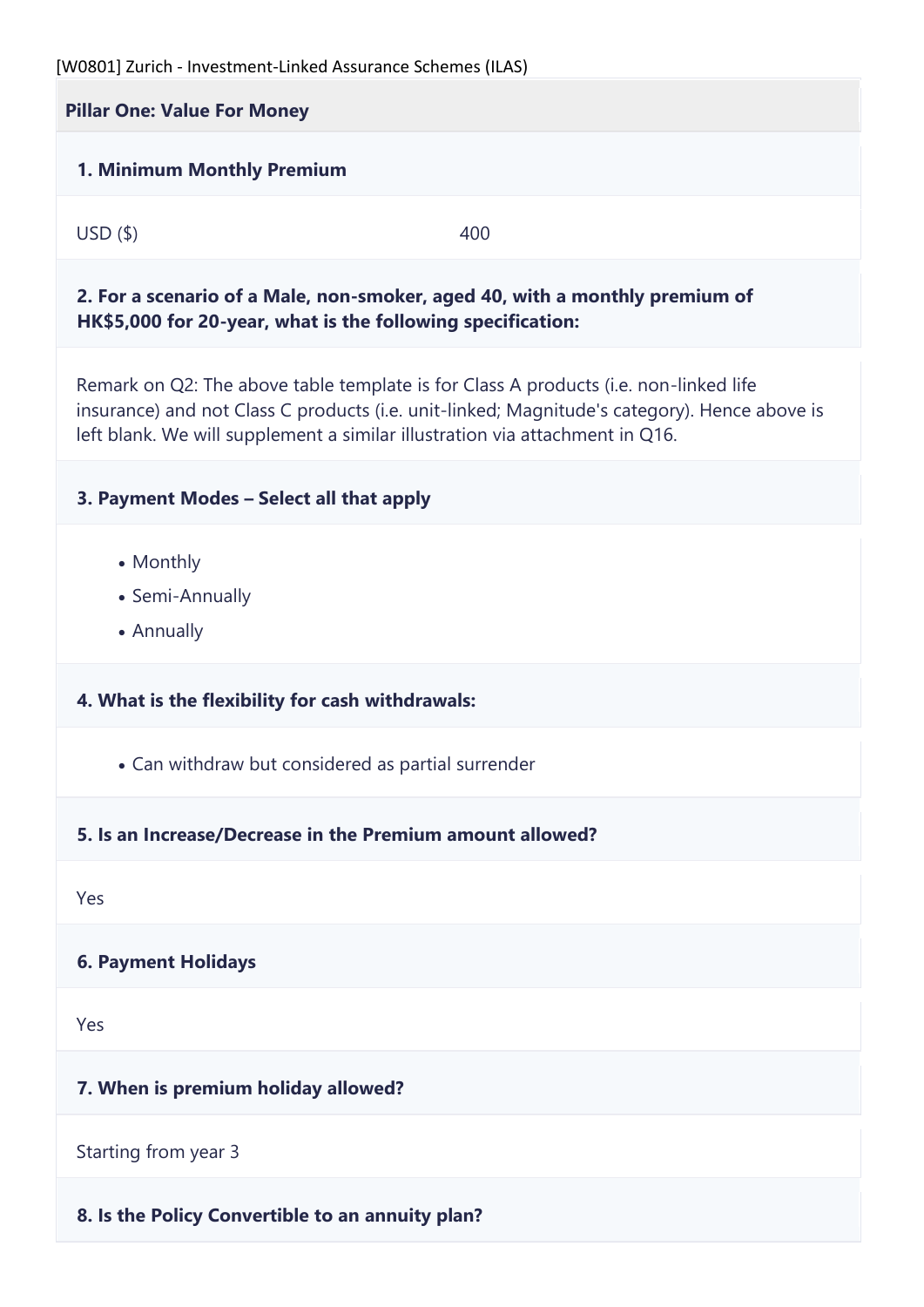[W0801] Zurich - Investment-Linked Assurance Schemes (ILAS)

**Pillar One: Value For Money**

### **1. Minimum Monthly Premium**

 $\text{USD (}\$\)$ 

**2. For a scenario of a Male, non-smoker, aged 40, with a monthly premium of HK\$5,000 for 20-year, what is the following specification:**

Remark on Q2: The above table template is for Class A products (i.e. non-linked life insurance) and not Class C products (i.e. unit-linked; Magnitude's category). Hence above is left blank. We will supplement a similar illustration via attachment in Q16.

#### **3. Payment Modes – Select all that apply**

- Monthly
- Semi-Annually
- Annually

# **4. What is the flexibility for cash withdrawals:**

• Can withdraw but considered as partial surrender

#### **5. Is an Increase/Decrease in the Premium amount allowed?**

Yes

# **6. Payment Holidays**

Yes

#### **7. When is premium holiday allowed?**

Starting from year 3

**8. Is the Policy Convertible to an annuity plan?**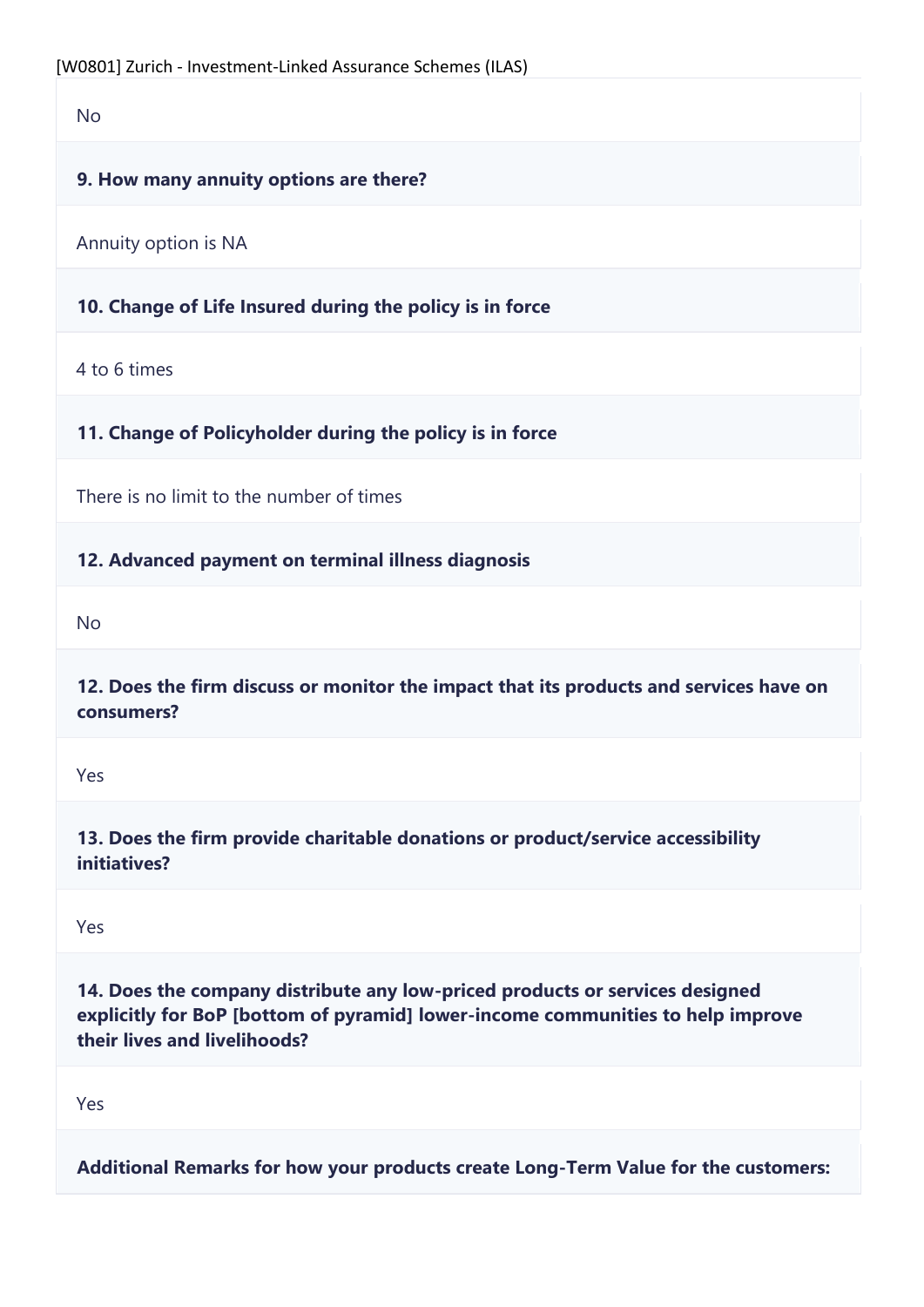No

# **9. How many annuity options are there?**

Annuity option is NA

# **10. Change of Life Insured during the policy is in force**

4 to 6 times

**11. Change of Policyholder during the policy is in force**

There is no limit to the number of times

**12. Advanced payment on terminal illness diagnosis**

 $No$ 

**12. Does the firm discuss or monitor the impact that its products and services have on consumers?**

Yes

**13. Does the firm provide charitable donations or product/service accessibility initiatives?**

Yes

**14. Does the company distribute any low-priced products or services designed explicitly for BoP [bottom of pyramid] lower-income communities to help improve their lives and livelihoods?**

Yes

**Additional Remarks for how your products create Long-Term Value for the customers:**